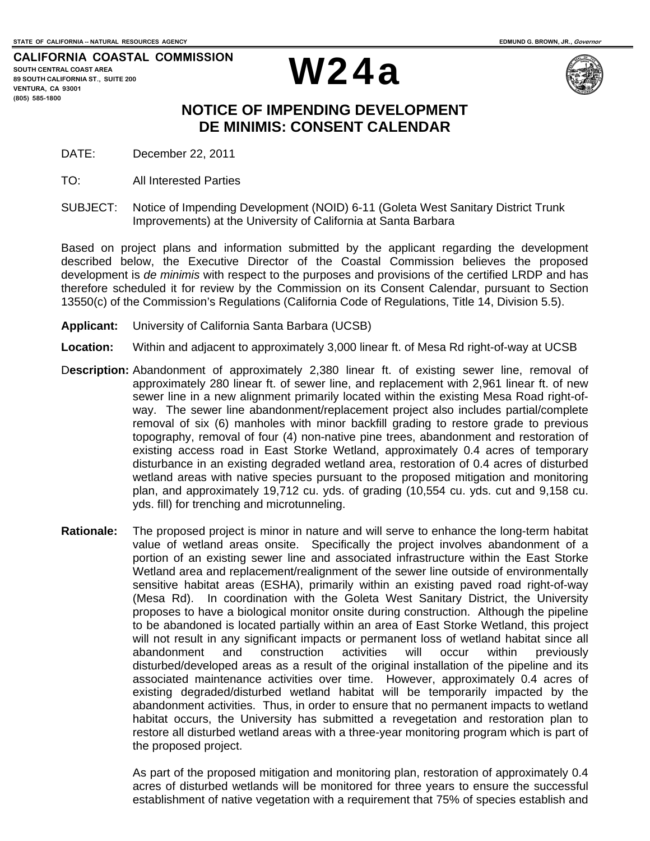**CALIFORNIA COASTAL COMMISSION SOUTH CENTRAL COAST AREA 89 SOUTH CALIFORNIA ST., SUITE 200 VENTURA, CA 93001 (805) 585-1800** 





## **NOTICE OF IMPENDING DEVELOPMENT DE MINIMIS: CONSENT CALENDAR**

DATE: December 22, 2011

- TO: All Interested Parties
- SUBJECT: Notice of Impending Development (NOID) 6-11 (Goleta West Sanitary District Trunk Improvements) at the University of California at Santa Barbara

Based on project plans and information submitted by the applicant regarding the development described below, the Executive Director of the Coastal Commission believes the proposed development is *de minimis* with respect to the purposes and provisions of the certified LRDP and has therefore scheduled it for review by the Commission on its Consent Calendar, pursuant to Section 13550(c) of the Commission's Regulations (California Code of Regulations, Title 14, Division 5.5).

- **Applicant:** University of California Santa Barbara (UCSB)
- **Location:** Within and adjacent to approximately 3,000 linear ft. of Mesa Rd right-of-way at UCSB
- D**escription:** Abandonment of approximately 2,380 linear ft. of existing sewer line, removal of approximately 280 linear ft. of sewer line, and replacement with 2,961 linear ft. of new sewer line in a new alignment primarily located within the existing Mesa Road right-ofway. The sewer line abandonment/replacement project also includes partial/complete removal of six (6) manholes with minor backfill grading to restore grade to previous topography, removal of four (4) non-native pine trees, abandonment and restoration of existing access road in East Storke Wetland, approximately 0.4 acres of temporary disturbance in an existing degraded wetland area, restoration of 0.4 acres of disturbed wetland areas with native species pursuant to the proposed mitigation and monitoring plan, and approximately 19,712 cu. yds. of grading (10,554 cu. yds. cut and 9,158 cu. yds. fill) for trenching and microtunneling.
- **Rationale:** The proposed project is minor in nature and will serve to enhance the long-term habitat value of wetland areas onsite. Specifically the project involves abandonment of a portion of an existing sewer line and associated infrastructure within the East Storke Wetland area and replacement/realignment of the sewer line outside of environmentally sensitive habitat areas (ESHA), primarily within an existing paved road right-of-way (Mesa Rd). In coordination with the Goleta West Sanitary District, the University proposes to have a biological monitor onsite during construction. Although the pipeline to be abandoned is located partially within an area of East Storke Wetland, this project will not result in any significant impacts or permanent loss of wetland habitat since all abandonment and construction activities will occur within previously disturbed/developed areas as a result of the original installation of the pipeline and its associated maintenance activities over time. However, approximately 0.4 acres of existing degraded/disturbed wetland habitat will be temporarily impacted by the abandonment activities. Thus, in order to ensure that no permanent impacts to wetland habitat occurs, the University has submitted a revegetation and restoration plan to restore all disturbed wetland areas with a three-year monitoring program which is part of the proposed project.

As part of the proposed mitigation and monitoring plan, restoration of approximately 0.4 acres of disturbed wetlands will be monitored for three years to ensure the successful establishment of native vegetation with a requirement that 75% of species establish and